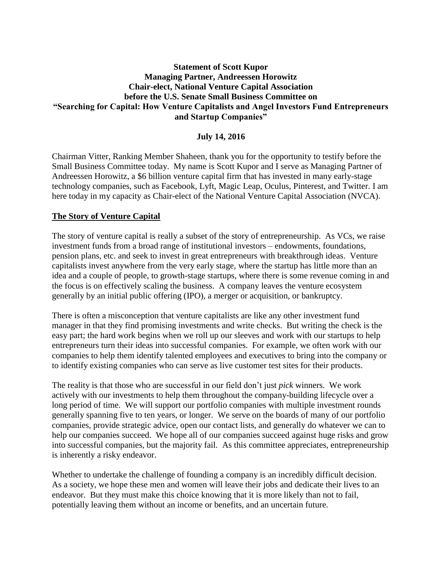## **Statement of Scott Kupor Managing Partner, Andreessen Horowitz Chair-elect, National Venture Capital Association before the U.S. Senate Small Business Committee on "Searching for Capital: How Venture Capitalists and Angel Investors Fund Entrepreneurs and Startup Companies"**

### **July 14, 2016**

Chairman Vitter, Ranking Member Shaheen, thank you for the opportunity to testify before the Small Business Committee today. My name is Scott Kupor and I serve as Managing Partner of Andreessen Horowitz, a \$6 billion venture capital firm that has invested in many early-stage technology companies, such as Facebook, Lyft, Magic Leap, Oculus, Pinterest, and Twitter. I am here today in my capacity as Chair-elect of the National Venture Capital Association (NVCA).

### **The Story of Venture Capital**

The story of venture capital is really a subset of the story of entrepreneurship. As VCs, we raise investment funds from a broad range of institutional investors – endowments, foundations, pension plans, etc. and seek to invest in great entrepreneurs with breakthrough ideas. Venture capitalists invest anywhere from the very early stage, where the startup has little more than an idea and a couple of people, to growth-stage startups, where there is some revenue coming in and the focus is on effectively scaling the business. A company leaves the venture ecosystem generally by an initial public offering (IPO), a merger or acquisition, or bankruptcy.

There is often a misconception that venture capitalists are like any other investment fund manager in that they find promising investments and write checks. But writing the check is the easy part; the hard work begins when we roll up our sleeves and work with our startups to help entrepreneurs turn their ideas into successful companies. For example, we often work with our companies to help them identify talented employees and executives to bring into the company or to identify existing companies who can serve as live customer test sites for their products.

The reality is that those who are successful in our field don't just *pick* winners. We work actively with our investments to help them throughout the company-building lifecycle over a long period of time. We will support our portfolio companies with multiple investment rounds generally spanning five to ten years, or longer. We serve on the boards of many of our portfolio companies, provide strategic advice, open our contact lists, and generally do whatever we can to help our companies succeed. We hope all of our companies succeed against huge risks and grow into successful companies, but the majority fail. As this committee appreciates, entrepreneurship is inherently a risky endeavor.

Whether to undertake the challenge of founding a company is an incredibly difficult decision. As a society, we hope these men and women will leave their jobs and dedicate their lives to an endeavor. But they must make this choice knowing that it is more likely than not to fail, potentially leaving them without an income or benefits, and an uncertain future.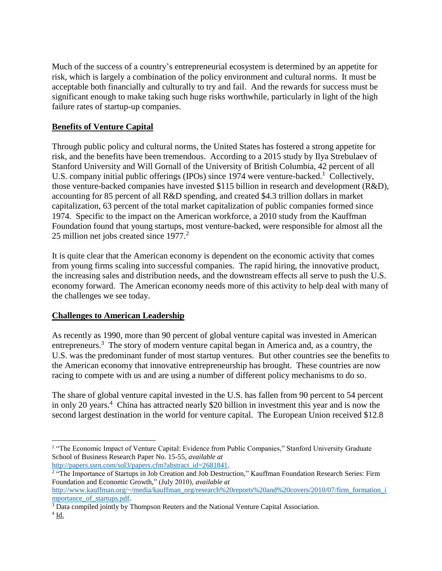Much of the success of a country's entrepreneurial ecosystem is determined by an appetite for risk, which is largely a combination of the policy environment and cultural norms. It must be acceptable both financially and culturally to try and fail. And the rewards for success must be significant enough to make taking such huge risks worthwhile, particularly in light of the high failure rates of startup-up companies.

# **Benefits of Venture Capital**

Through public policy and cultural norms, the United States has fostered a strong appetite for risk, and the benefits have been tremendous. According to a 2015 study by Ilya Strebulaev of Stanford University and Will Gornall of the University of British Columbia, 42 percent of all U.S. company initial public offerings (IPOs) since 1974 were venture-backed.<sup>1</sup> Collectively, those venture-backed companies have invested \$115 billion in research and development (R&D), accounting for 85 percent of all R&D spending, and created \$4.3 trillion dollars in market capitalization, 63 percent of the total market capitalization of public companies formed since 1974. Specific to the impact on the American workforce, a 2010 study from the Kauffman Foundation found that young startups, most venture-backed, were responsible for almost all the 25 million net jobs created since 1977.<sup>2</sup>

It is quite clear that the American economy is dependent on the economic activity that comes from young firms scaling into successful companies. The rapid hiring, the innovative product, the increasing sales and distribution needs, and the downstream effects all serve to push the U.S. economy forward. The American economy needs more of this activity to help deal with many of the challenges we see today.

## **Challenges to American Leadership**

As recently as 1990, more than 90 percent of global venture capital was invested in American entrepreneurs.<sup>3</sup> The story of modern venture capital began in America and, as a country, the U.S. was the predominant funder of most startup ventures. But other countries see the benefits to the American economy that innovative entrepreneurship has brought. These countries are now racing to compete with us and are using a number of different policy mechanisms to do so.

The share of global venture capital invested in the U.S. has fallen from 90 percent to 54 percent in only 20 years. 4 China has attracted nearly \$20 billion in investment this year and is now the second largest destination in the world for venture capital. The European Union received \$12.8

<sup>2</sup> "The Importance of Startups in Job Creation and Job Destruction," Kauffman Foundation Research Series: Firm Foundation and Economic Growth," (July 2010), *available at* 

 $\overline{\phantom{a}}$ <sup>1</sup> "The Economic Impact of Venture Capital: Evidence from Public Companies," Stanford University Graduate School of Business Research Paper No. 15-55, *available at*  [http://papers.ssrn.com/sol3/papers.cfm?abstract\\_id=2681841](http://papers.ssrn.com/sol3/papers.cfm?abstract_id=2681841)*.* 

[http://www.kauffman.org/~/media/kauffman\\_org/research%20reports%20and%20covers/2010/07/firm\\_formation\\_i](http://www.kauffman.org/~/media/kauffman_org/research%20reports%20and%20covers/2010/07/firm_formation_importance_of_startups.pdf) [mportance\\_of\\_startups.pdf.](http://www.kauffman.org/~/media/kauffman_org/research%20reports%20and%20covers/2010/07/firm_formation_importance_of_startups.pdf)

<sup>3</sup> Data compiled jointly by Thompson Reuters and the National Venture Capital Association.

 $4$   $\underline{\text{Id}}$ .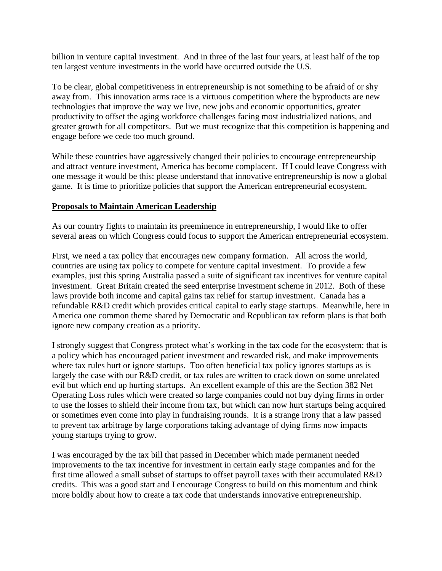billion in venture capital investment. And in three of the last four years, at least half of the top ten largest venture investments in the world have occurred outside the U.S.

To be clear, global competitiveness in entrepreneurship is not something to be afraid of or shy away from. This innovation arms race is a virtuous competition where the byproducts are new technologies that improve the way we live, new jobs and economic opportunities, greater productivity to offset the aging workforce challenges facing most industrialized nations, and greater growth for all competitors. But we must recognize that this competition is happening and engage before we cede too much ground.

While these countries have aggressively changed their policies to encourage entrepreneurship and attract venture investment, America has become complacent. If I could leave Congress with one message it would be this: please understand that innovative entrepreneurship is now a global game. It is time to prioritize policies that support the American entrepreneurial ecosystem.

### **Proposals to Maintain American Leadership**

As our country fights to maintain its preeminence in entrepreneurship, I would like to offer several areas on which Congress could focus to support the American entrepreneurial ecosystem.

First, we need a tax policy that encourages new company formation. All across the world, countries are using tax policy to compete for venture capital investment. To provide a few examples, just this spring Australia passed a suite of significant tax incentives for venture capital investment. Great Britain created the seed enterprise investment scheme in 2012. Both of these laws provide both income and capital gains tax relief for startup investment. Canada has a refundable R&D credit which provides critical capital to early stage startups. Meanwhile, here in America one common theme shared by Democratic and Republican tax reform plans is that both ignore new company creation as a priority.

I strongly suggest that Congress protect what's working in the tax code for the ecosystem: that is a policy which has encouraged patient investment and rewarded risk, and make improvements where tax rules hurt or ignore startups. Too often beneficial tax policy ignores startups as is largely the case with our R&D credit, or tax rules are written to crack down on some unrelated evil but which end up hurting startups. An excellent example of this are the Section 382 Net Operating Loss rules which were created so large companies could not buy dying firms in order to use the losses to shield their income from tax, but which can now hurt startups being acquired or sometimes even come into play in fundraising rounds. It is a strange irony that a law passed to prevent tax arbitrage by large corporations taking advantage of dying firms now impacts young startups trying to grow.

I was encouraged by the tax bill that passed in December which made permanent needed improvements to the tax incentive for investment in certain early stage companies and for the first time allowed a small subset of startups to offset payroll taxes with their accumulated R&D credits. This was a good start and I encourage Congress to build on this momentum and think more boldly about how to create a tax code that understands innovative entrepreneurship.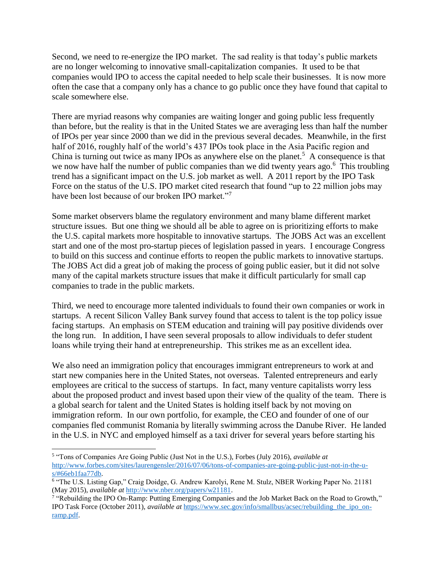Second, we need to re-energize the IPO market. The sad reality is that today's public markets are no longer welcoming to innovative small-capitalization companies. It used to be that companies would IPO to access the capital needed to help scale their businesses. It is now more often the case that a company only has a chance to go public once they have found that capital to scale somewhere else.

There are myriad reasons why companies are waiting longer and going public less frequently than before, but the reality is that in the United States we are averaging less than half the number of IPOs per year since 2000 than we did in the previous several decades. Meanwhile, in the first half of 2016, roughly half of the world's 437 IPOs took place in the Asia Pacific region and China is turning out twice as many IPOs as anywhere else on the planet.<sup>5</sup> A consequence is that we now have half the number of public companies than we did twenty years ago.<sup>6</sup> This troubling trend has a significant impact on the U.S. job market as well. A 2011 report by the IPO Task Force on the status of the U.S. IPO market cited research that found "up to 22 million jobs may have been lost because of our broken IPO market."<sup>7</sup>

Some market observers blame the regulatory environment and many blame different market structure issues. But one thing we should all be able to agree on is prioritizing efforts to make the U.S. capital markets more hospitable to innovative startups. The JOBS Act was an excellent start and one of the most pro-startup pieces of legislation passed in years. I encourage Congress to build on this success and continue efforts to reopen the public markets to innovative startups. The JOBS Act did a great job of making the process of going public easier, but it did not solve many of the capital markets structure issues that make it difficult particularly for small cap companies to trade in the public markets.

Third, we need to encourage more talented individuals to found their own companies or work in startups. A recent Silicon Valley Bank survey found that access to talent is the top policy issue facing startups. An emphasis on STEM education and training will pay positive dividends over the long run. In addition, I have seen several proposals to allow individuals to defer student loans while trying their hand at entrepreneurship. This strikes me as an excellent idea.

We also need an immigration policy that encourages immigrant entrepreneurs to work at and start new companies here in the United States, not overseas. Talented entrepreneurs and early employees are critical to the success of startups. In fact, many venture capitalists worry less about the proposed product and invest based upon their view of the quality of the team. There is a global search for talent and the United States is holding itself back by not moving on immigration reform. In our own portfolio, for example, the CEO and founder of one of our companies fled communist Romania by literally swimming across the Danube River. He landed in the U.S. in NYC and employed himself as a taxi driver for several years before starting his

 $\overline{a}$ 5 "Tons of Companies Are Going Public (Just Not in the U.S.), Forbes (July 2016), *available at*  [http://www.forbes.com/sites/laurengensler/2016/07/06/tons-of-companies-are-going-public-just-not-in-the-u](http://www.forbes.com/sites/laurengensler/2016/07/06/tons-of-companies-are-going-public-just-not-in-the-u-s/#66eb1faa77db)[s/#66eb1faa77db.](http://www.forbes.com/sites/laurengensler/2016/07/06/tons-of-companies-are-going-public-just-not-in-the-u-s/#66eb1faa77db) 

<sup>&</sup>lt;sup>6</sup> "The U.S. Listing Gap," Craig Doidge, G. Andrew Karolyi, Rene M. Stulz, NBER Working Paper No. 21181 (May 2015), *available at* [http://www.nber.org/papers/w21181.](http://www.nber.org/papers/w21181)

<sup>&</sup>lt;sup>7</sup> "Rebuilding the IPO On-Ramp: Putting Emerging Companies and the Job Market Back on the Road to Growth," IPO Task Force (October 2011), *available at* [https://www.sec.gov/info/smallbus/acsec/rebuilding\\_the\\_ipo\\_on](https://www.sec.gov/info/smallbus/acsec/rebuilding_the_ipo_on-ramp.pdf)[ramp.pdf.](https://www.sec.gov/info/smallbus/acsec/rebuilding_the_ipo_on-ramp.pdf)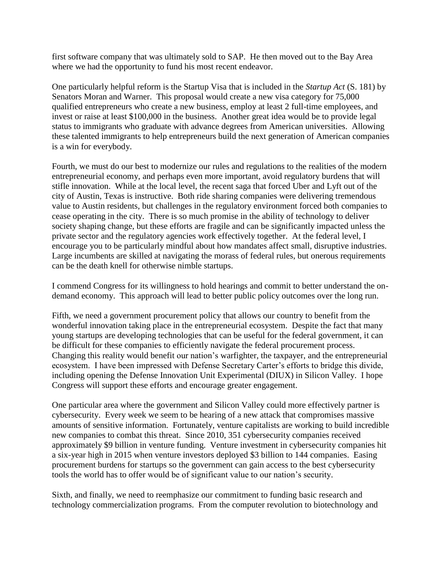first software company that was ultimately sold to SAP. He then moved out to the Bay Area where we had the opportunity to fund his most recent endeavor.

One particularly helpful reform is the Startup Visa that is included in the *Startup Act* (S. 181) by Senators Moran and Warner. This proposal would create a new visa category for 75,000 qualified entrepreneurs who create a new business, employ at least 2 full-time employees, and invest or raise at least \$100,000 in the business. Another great idea would be to provide legal status to immigrants who graduate with advance degrees from American universities. Allowing these talented immigrants to help entrepreneurs build the next generation of American companies is a win for everybody.

Fourth, we must do our best to modernize our rules and regulations to the realities of the modern entrepreneurial economy, and perhaps even more important, avoid regulatory burdens that will stifle innovation. While at the local level, the recent saga that forced Uber and Lyft out of the city of Austin, Texas is instructive. Both ride sharing companies were delivering tremendous value to Austin residents, but challenges in the regulatory environment forced both companies to cease operating in the city. There is so much promise in the ability of technology to deliver society shaping change, but these efforts are fragile and can be significantly impacted unless the private sector and the regulatory agencies work effectively together. At the federal level, I encourage you to be particularly mindful about how mandates affect small, disruptive industries. Large incumbents are skilled at navigating the morass of federal rules, but onerous requirements can be the death knell for otherwise nimble startups.

I commend Congress for its willingness to hold hearings and commit to better understand the ondemand economy. This approach will lead to better public policy outcomes over the long run.

Fifth, we need a government procurement policy that allows our country to benefit from the wonderful innovation taking place in the entrepreneurial ecosystem. Despite the fact that many young startups are developing technologies that can be useful for the federal government, it can be difficult for these companies to efficiently navigate the federal procurement process. Changing this reality would benefit our nation's warfighter, the taxpayer, and the entrepreneurial ecosystem. I have been impressed with Defense Secretary Carter's efforts to bridge this divide, including opening the Defense Innovation Unit Experimental (DIUX) in Silicon Valley. I hope Congress will support these efforts and encourage greater engagement.

One particular area where the government and Silicon Valley could more effectively partner is cybersecurity. Every week we seem to be hearing of a new attack that compromises massive amounts of sensitive information. Fortunately, venture capitalists are working to build incredible new companies to combat this threat. Since 2010, 351 cybersecurity companies received approximately \$9 billion in venture funding. Venture investment in cybersecurity companies hit a six-year high in 2015 when venture investors deployed \$3 billion to 144 companies. Easing procurement burdens for startups so the government can gain access to the best cybersecurity tools the world has to offer would be of significant value to our nation's security.

Sixth, and finally, we need to reemphasize our commitment to funding basic research and technology commercialization programs. From the computer revolution to biotechnology and